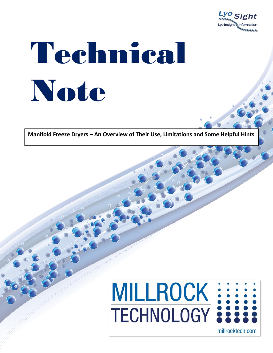

# Technical Note

**Manifold Freeze Dryers – An Overview of Their Use, Limitations and Some Helpful Hints**



millrocktech.com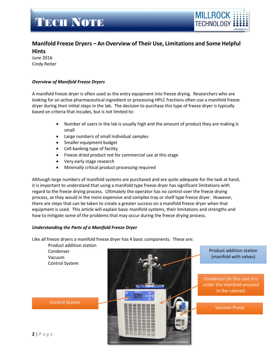

### **Manifold Freeze Dryers – An Overview of Their Use, Limitations and Some Helpful Hints**

June 2016 Cindy Reiter

#### *Overview of Manifold Freeze Dryers*

A manifold freeze dryer is often used as the entry equipment into freeze drying. Researchers who are looking for an active pharmaceutical ingredient or processing HPLC fractions often use a manifold freeze dryer during their initial steps in the lab. The decision to purchase this type of freeze dryer is typically based on criteria that incudes, but is not limited to:

- Number of users in the lab is usually high and the amount of product they are making is small
- Large numbers of small individual samples
- Smaller equipment budget
- Cell banking type of facility
- Freeze dried product not for commercial use at this stage
- Very early stage research
- Minimally critical product processing required

Although large numbers of manifold systems are purchased and are quite adequate for the task at hand, it is important to understand that using a manifold type freeze dryer has significant limitations with regard to the freeze drying process. Ultimately the operator has no control over the freeze drying process, as they would in the more expensive and complex tray or shelf type freeze dryer. However, there are steps that can be taken to create a greater success on a manifold freeze dryer when that equipment is used. This article will explain basic manifold systems, their limitations and strengths and how to mitigate some of the problems that may occur during the freeze drying process.

#### *Understanding the Parts of a Manifold Freeze Dryer*

Like all freeze dryers a manifold freeze dryer has 4 basic components. These are:

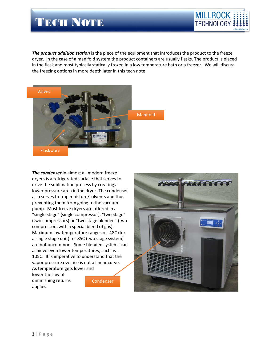

*The product addition station* is the piece of the equipment that introduces the product to the freeze dryer. In the case of a manifold system the product containers are usually flasks. The product is placed in the flask and most typically statically frozen in a low temperature bath or a freezer. We will discuss the freezing options in more depth later in this tech note.



Flaskware

*The condenser* in almost all modern freeze dryers is a refrigerated surface that serves to drive the sublimation process by creating a lower pressure area in the dryer. The condenser also serves to trap moisture/solvents and thus preventing them from going to the vacuum pump. Most freeze dryers are offered in a "single stage" (single compressor), "two stage" (two compressors) or "two stage blended" (two compressors with a special blend of gas). Maximum low temperature ranges of -48C (for a single stage unit) to -85C (two stage system) are not uncommon. Some blended systems can achieve even lower temperatures, such as - 105C. It is imperative to understand that the vapor pressure over ice is not a linear curve. As temperature gets lower and

lower the law of diminishing returns applies.

Condenser

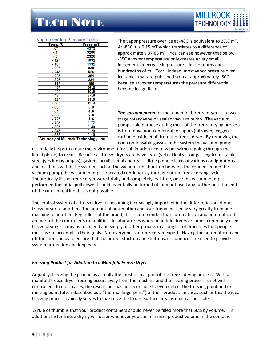

#### Vapor over Ice Pressure Table

| Temp °C                                                                                                                         | Press mT          |
|---------------------------------------------------------------------------------------------------------------------------------|-------------------|
| $\frac{0}{-4^{\circ}}$                                                                                                          | 4579              |
|                                                                                                                                 | 3280              |
| $-8^\circ$                                                                                                                      | 2326              |
| $-12^\circ$                                                                                                                     | 1632              |
| $\frac{-12}{-16^{\circ}}$ $\frac{-20^{\circ}}{-24^{\circ}}$ $\frac{-28^{\circ}}{-32^{\circ}}$ $\frac{-32^{\circ}}{-36^{\circ}}$ | 1132              |
|                                                                                                                                 | $\overline{930}$  |
|                                                                                                                                 | $\overline{526}$  |
|                                                                                                                                 | 351               |
|                                                                                                                                 | 231               |
|                                                                                                                                 | $\overline{150}$  |
| $-40^\circ$                                                                                                                     | 96.6              |
| $-44^{\circ}$                                                                                                                   | 60.9              |
| $-48^\circ$                                                                                                                     | 37.8              |
| $\frac{1}{2}$ - 52°                                                                                                             | 23.0              |
|                                                                                                                                 | 13.8              |
| $-60^\circ$                                                                                                                     | 0.8               |
| $-64^\circ$                                                                                                                     | 4.6               |
| $\frac{-68^{\circ}}{-72^{\circ}}$                                                                                               | $\frac{2.6}{1.4}$ |
|                                                                                                                                 |                   |
| $-76^\circ$                                                                                                                     | $\frac{0.77}{2}$  |
| $-80^\circ$                                                                                                                     | 0.40              |
| $-84^\circ$                                                                                                                     | 0.20              |
| $-88^\circ$                                                                                                                     | 0.10              |
| <b>Courtesy of Millrock Technology, Inc</b>                                                                                     |                   |

The vapor pressure over ice at -48C is equivalent to 37.8 mT. At -85C it is 0.15 mT which translates to a difference of approximately 37.65 mT. You can see however that below -85C a lower temperature only creates a very small incremental decrease in pressure – in the tenths and hundredths of milliTorr. Indeed, most vapor pressure over ice tables that are published stop at approximately -80C because at lower temperatures the pressure differential become insignificant.

*The vacuum pump* for most manifold freeze dryers is a two stage rotary vane oil sealed vacuum pump. The vacuum pumps sole purpose during most of the freeze drying process is to remove non-condensable vapors (nitrogen, oxygen, carbon dioxide et al) from the freeze dryer. By removing the non-condensable gasses in the system the vacuum pump

essentially helps to create the environment for sublimation (ice to vapor without going through the liquid phase) to occur. Because all freeze dryers are have leaks (virtual leaks -- outgassing from stainless steel (yes it may outgas), gaskets, acrylics et al and real -- little pinhole leaks of various configurations and locations within the system, such at the vacuum tube hook up between the condenser and the vacuum pump) the vacuum pump is operated continuously throughout the freeze drying cycle. Theoretically IF the freeze dryer were totally and completely leak free, once the vacuum pump performed the initial pull down it could essentially be turned off and not used any further until the end of the run. In real life this is not possible.

The control system of a freeze dryer is becoming increasingly important in the differentiation of one freeze dryer to another. The amount of automation and user friendliness may vary greatly from one machine to another. Regardless of the brand, it is recommended that automatic on and automatic off are part of the controller's capabilities. In laboratories where manifold dryers are most commonly used, freeze drying is a means to an end and simply another process in a long list of processes that people must use to accomplish their goals. Not everyone is a freeze dryer expert. Having the automatic on and off functions helps to ensure that the proper start-up and shut-down sequences are used to provide system protection and longevity.

#### *Freezing Product for Addition to a Manifold Freeze Dryer*

Arguably, freezing the product is actually the most critical part of the freeze drying process. With a manifold freeze dryer freezing occurs away from the machine and the freezing process is not well controlled. In most cases, the researcher has not been able to even detect the freezing point and or melting point (often described as a "thermal fingerprint") of their product. In cases such as this the ideal freezing process typically serves to maximize the frozen surface area as much as possible.

A rule of thumb is that your product containers should never be filled more that 50% by volume. In addition, faster freeze drying will occur whenever you can minimize product volume in the container.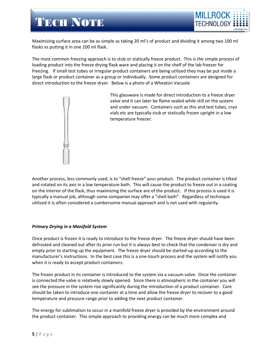

Maximizing surface area can be as simple as taking 20 ml's of product and dividing it among two 100 ml flasks vs putting it in one 100 ml flask.

The most common freezing approach is to stub or statically freeze product. This is the simple process of loading product into the freeze drying flask ware and placing it on the shelf of the lab freezer for freezing. If small test tubes or irregular product containers are being utilized they may be put inside a large flask or product container as a group or individually. Some product containers are designed for direct introduction to the freeze dryer. Below is a photo of a Wheaton Vacuole



This glassware is made for direct introduction to a freeze dryer valve and it can later be flame sealed while still on the system and under vacuum. Containers such as this and test tubes, cryo vials etc are typically stub or statically frozen upright in a low temperature freezer.

Another process, less commonly used, is to "shell freeze" your product. The product container is tilted and rotated on its axis in a low temperature bath. This will cause the product to freeze out in a coating on the interior of the flask, thus maximizing the surface are of the product. If this process is used it is typically a manual job, although some companies may offer a "shell bath". Regardless of technique utilized it is often considered a cumbersome manual approach and is not used with regularity.

#### *Primary Drying in a Manifold System*

Once product is frozen it is ready to introduce to the freeze dryer. The freeze dryer should have been defrosted and cleaned out after its prior run but it is always best to check that the condenser is dry and empty prior to starting up the equipment. The freeze dryer should be started-up according to the manufacturer's instructions. In the best case this is a one-touch process and the system will notify you when it is ready to accept product containers.

The frozen product in its container is introduced to the system via a vacuum valve. Once the container is connected the valve is relatively slowly opened. Since there is atmospheric in the container you will see the pressure in the system rise significantly during the introduction of a product container. Care should be taken to introduce one container at a time and allow the freeze dryer to recover to a good temperature and pressure range prior to adding the next product container.

The energy for sublimation to occur in a manifold freeze dryer is provided by the environment around the product container. This simple approach to providing energy can be much more complex and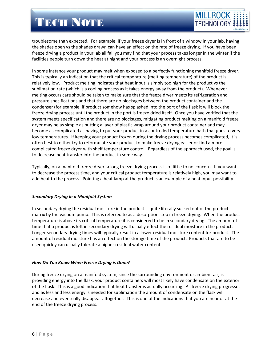

troublesome than expected. For example, if your freeze dryer is in front of a window in your lab, having the shades open vs the shades drawn can have an effect on the rate of freeze drying. If you have been freeze drying a product in your lab all fall you may find that your process takes longer in the winter if the facilities people turn down the heat at night and your process is an overnight process.

In some instance your product may melt when exposed to a perfectly functioning manifold freeze dryer. This is typically an indication that the critical temperature (melting temperature) of the product is relatively low. Product melting indicates that heat input is simply too high for the product vs the sublimation rate (which is a cooling process as it takes energy away from the product). Whenever melting occurs care should be taken to make sure that the freeze dryer meets its refrigeration and pressure specifications and that there are no blockages between the product container and the condenser (for example, if product somehow has splashed into the port of the flask it will block the freeze drying process until the product in the port is freeze dried itself. Once you have verified that the system meets specification and there are no blockages, mitigating product melting on a manifold freeze dryer may be as simple as putting a layer of plastic wrap around your product container and may become as complicated as having to put your product in a controlled temperature bath that goes to very low temperatures. If keeping your product frozen during the drying process becomes complicated, it is often best to either try to reformulate your product to make freeze drying easier or find a more complicated freeze dryer with shelf temperature control. Regardless of the approach used, the goal is to decrease heat transfer into the product in some way.

Typically, on a manifold freeze dryer, a long freeze drying process is of little to no concern. If you want to decrease the process time, and your critical product temperature is relatively high, you may want to add heat to the process. Pointing a heat lamp at the product is an example of a heat input possibility.

### *Secondary Drying in a Manifold System*

In secondary drying the residual moisture in the product is quite literally sucked out of the product matrix by the vacuum pump. This is referred to as a desorption step in freeze drying. When the product temperature is above its critical temperature it is considered to be in secondary drying. The amount of time that a product is left in secondary drying will usually effect the residual moisture in the product. Longer secondary drying times will typically result in a lower residual moisture content for product. The amount of residual moisture has an effect on the storage time of the product. Products that are to be used quickly can usually tolerate a higher residual water content.

### *How Do You Know When Freeze Drying is Done?*

During freeze drying on a manifold system, since the surrounding environment or ambient air, is providing energy into the flask, your product containers will most likely have condensate on the exterior of the flask. This is a good indication that heat transfer is actually occurring. As freeze drying progresses and as less and less energy is needed for sublimation the amount of condensate on the flask will decrease and eventually disappear altogether. This is one of the indications that you are near or at the end of the freeze drying process.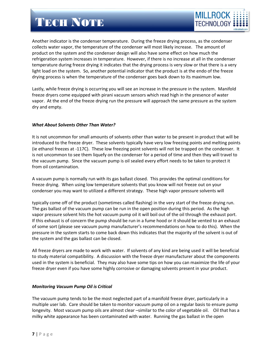

Another indicator is the condenser temperature. During the freeze drying process, as the condenser collects water vapor, the temperature of the condenser will most likely increase. The amount of product on the system and the condenser design will also have some effect on how much the refrigeration system increases in temperature. However, if there is no increase at all in the condenser temperature during freeze drying it indicates that the drying process is very slow or that there is a very light load on the system. So, another potential indicator that the product is at the endo of the freeze drying process is when the temperature of the condenser goes back down to its maximum low.

Lastly, while freeze drying is occurring you will see an increase in the pressure in the system. Manifold freeze dryers come equipped with pirani vacuum sensors which read high in the presence of water vapor. At the end of the freeze drying run the pressure will approach the same pressure as the system dry and empty.

### *What About Solvents Other Than Water?*

It is not uncommon for small amounts of solvents other than water to be present in product that will be introduced to the freeze dryer. These solvents typically have very low freezing points and melting points (ie ethanol freezes at -117C). These low freezing point solvents will not be trapped on the condenser. It is not uncommon to see them liquefy on the condenser for a period of time and then they will travel to the vacuum pump. Since the vacuum pump is oil sealed every effort needs to be taken to protect it from oil contamination.

A vacuum pump is normally run with its gas ballast closed. This provides the optimal conditions for freeze drying. When using low temperature solvents that you know will not freeze out on your condenser you may want to utilized a different strategy. These high vapor pressure solvents will

typically come off of the product (sometimes called flashing) in the very start of the freeze drying run. The gas ballast of the vacuum pump can be run in the open position during this period. As the high vapor pressure solvent hits the hot vacuum pump oil it will boil out of the oil through the exhaust port. If this exhaust is of concern the pump should be run in a fume hood or it should be vented to an exhaust of some sort (please see vacuum pump manufacturer's recommendations on how to do this). When the pressure in the system starts to come back down this indicates that the majority of the solvent is out of the system and the gas ballast can be closed.

All freeze dryers are made to work with water. If solvents of any kind are being used it will be beneficial to study material compatibility. A discussion with the freeze dryer manufacturer about the components used in the system is beneficial. They may also have some tips on how you can maximize the life of your freeze dryer even if you have some highly corrosive or damaging solvents present in your product.

### *Monitoring Vacuum Pump Oil is Critical*

The vacuum pump tends to be the most neglected part of a manifold freeze dryer, particularly in a multiple user lab. Care should be taken to monitor vacuum pump oil on a regular basis to ensure pump longevity. Most vacuum pump oils are almost clear –similar to the color of vegetable oil. Oil that has a milky white appearance has been contaminated with water. Running the gas ballast in the open